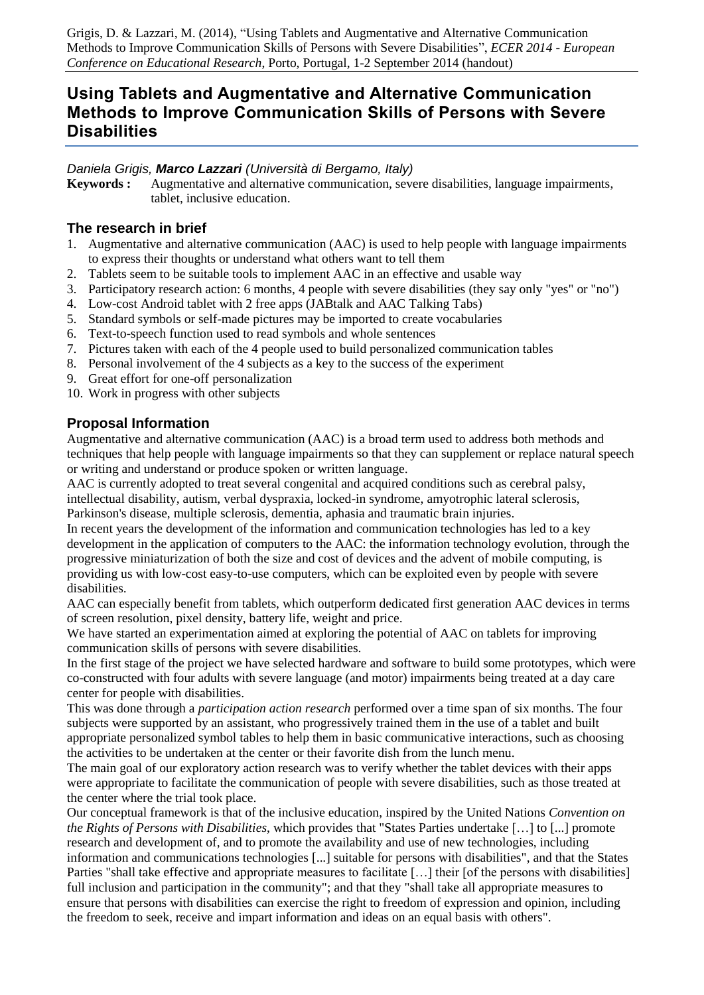Grigis, D. & Lazzari, M. (2014), "Using Tablets and Augmentative and Alternative Communication Methods to Improve Communication Skills of Persons with Severe Disabilities", *ECER 2014 - European Conference on Educational Research*, Porto, Portugal, 1-2 September 2014 (handout)

# **Using Tablets and Augmentative and Alternative Communication Methods to Improve Communication Skills of Persons with Severe Disabilities**

*Daniela Grigis, Marco Lazzari (Università di Bergamo, Italy)*

**Keywords :** Augmentative and alternative communication, severe disabilities, language impairments, tablet, inclusive education.

### **The research in brief**

- 1. Augmentative and alternative communication (AAC) is used to help people with language impairments to express their thoughts or understand what others want to tell them
- 2. Tablets seem to be suitable tools to implement AAC in an effective and usable way
- 3. Participatory research action: 6 months, 4 people with severe disabilities (they say only "yes" or "no")
- 4. Low-cost Android tablet with 2 free apps (JABtalk and AAC Talking Tabs)
- 5. Standard symbols or self-made pictures may be imported to create vocabularies
- 6. Text-to-speech function used to read symbols and whole sentences
- 7. Pictures taken with each of the 4 people used to build personalized communication tables
- 8. Personal involvement of the 4 subjects as a key to the success of the experiment
- 9. Great effort for one-off personalization
- 10. Work in progress with other subjects

# **Proposal Information**

Augmentative and alternative communication (AAC) is a broad term used to address both methods and techniques that help people with language impairments so that they can supplement or replace natural speech or writing and understand or produce spoken or written language.

AAC is currently adopted to treat several congenital and acquired conditions such as cerebral palsy, intellectual disability, autism, verbal dyspraxia, locked-in syndrome, amyotrophic lateral sclerosis,

Parkinson's disease, multiple sclerosis, dementia, aphasia and traumatic brain injuries.

In recent years the development of the information and communication technologies has led to a key development in the application of computers to the AAC: the information technology evolution, through the progressive miniaturization of both the size and cost of devices and the advent of mobile computing, is providing us with low-cost easy-to-use computers, which can be exploited even by people with severe disabilities.

AAC can especially benefit from tablets, which outperform dedicated first generation AAC devices in terms of screen resolution, pixel density, battery life, weight and price.

We have started an experimentation aimed at exploring the potential of AAC on tablets for improving communication skills of persons with severe disabilities.

In the first stage of the project we have selected hardware and software to build some prototypes, which were co-constructed with four adults with severe language (and motor) impairments being treated at a day care center for people with disabilities.

This was done through a *participation action research* performed over a time span of six months. The four subjects were supported by an assistant, who progressively trained them in the use of a tablet and built appropriate personalized symbol tables to help them in basic communicative interactions, such as choosing the activities to be undertaken at the center or their favorite dish from the lunch menu.

The main goal of our exploratory action research was to verify whether the tablet devices with their apps were appropriate to facilitate the communication of people with severe disabilities, such as those treated at the center where the trial took place.

Our conceptual framework is that of the inclusive education, inspired by the United Nations *Convention on the Rights of Persons with Disabilities*, which provides that "States Parties undertake […] to [...] promote research and development of, and to promote the availability and use of new technologies, including information and communications technologies [...] suitable for persons with disabilities", and that the States Parties "shall take effective and appropriate measures to facilitate [...] their [of the persons with disabilities] full inclusion and participation in the community"; and that they "shall take all appropriate measures to ensure that persons with disabilities can exercise the right to freedom of expression and opinion, including the freedom to seek, receive and impart information and ideas on an equal basis with others".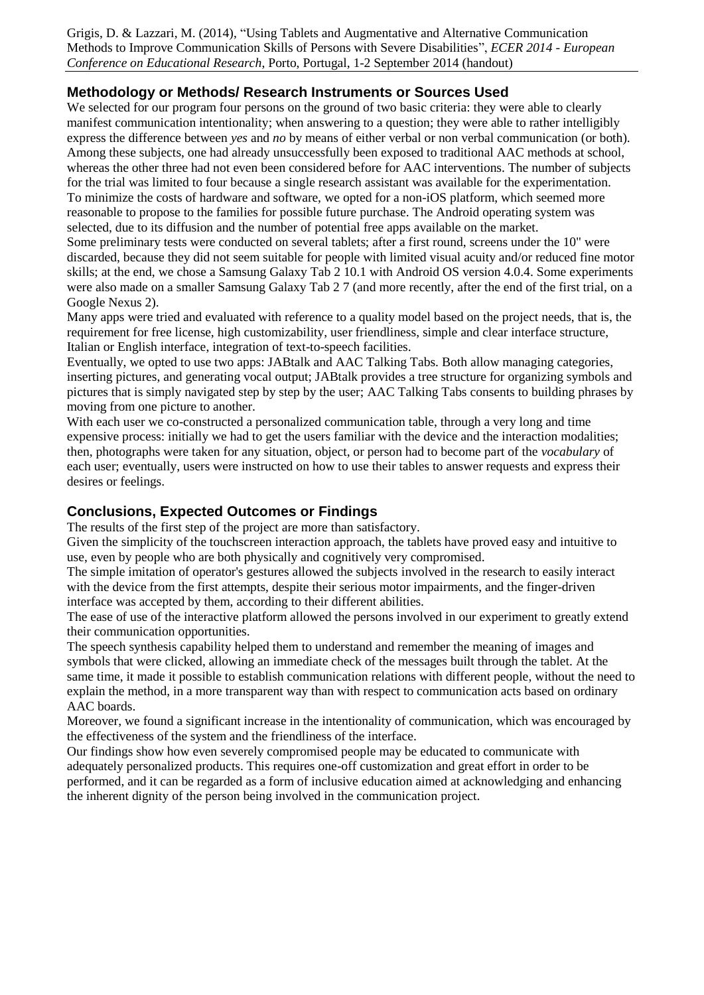Grigis, D. & Lazzari, M. (2014), "Using Tablets and Augmentative and Alternative Communication Methods to Improve Communication Skills of Persons with Severe Disabilities", *ECER 2014 - European Conference on Educational Research*, Porto, Portugal, 1-2 September 2014 (handout)

## **Methodology or Methods/ Research Instruments or Sources Used**

We selected for our program four persons on the ground of two basic criteria: they were able to clearly manifest communication intentionality; when answering to a question; they were able to rather intelligibly express the difference between *yes* and *no* by means of either verbal or non verbal communication (or both). Among these subjects, one had already unsuccessfully been exposed to traditional AAC methods at school, whereas the other three had not even been considered before for AAC interventions. The number of subjects for the trial was limited to four because a single research assistant was available for the experimentation. To minimize the costs of hardware and software, we opted for a non-iOS platform, which seemed more reasonable to propose to the families for possible future purchase. The Android operating system was selected, due to its diffusion and the number of potential free apps available on the market.

Some preliminary tests were conducted on several tablets; after a first round, screens under the 10" were discarded, because they did not seem suitable for people with limited visual acuity and/or reduced fine motor skills; at the end, we chose a Samsung Galaxy Tab 2 10.1 with Android OS version 4.0.4. Some experiments were also made on a smaller Samsung Galaxy Tab 2 7 (and more recently, after the end of the first trial, on a Google Nexus 2).

Many apps were tried and evaluated with reference to a quality model based on the project needs, that is, the requirement for free license, high customizability, user friendliness, simple and clear interface structure, Italian or English interface, integration of text-to-speech facilities.

Eventually, we opted to use two apps: JABtalk and AAC Talking Tabs. Both allow managing categories, inserting pictures, and generating vocal output; JABtalk provides a tree structure for organizing symbols and pictures that is simply navigated step by step by the user; AAC Talking Tabs consents to building phrases by moving from one picture to another.

With each user we co-constructed a personalized communication table, through a very long and time expensive process: initially we had to get the users familiar with the device and the interaction modalities; then, photographs were taken for any situation, object, or person had to become part of the *vocabulary* of each user; eventually, users were instructed on how to use their tables to answer requests and express their desires or feelings.

### **Conclusions, Expected Outcomes or Findings**

The results of the first step of the project are more than satisfactory.

Given the simplicity of the touchscreen interaction approach, the tablets have proved easy and intuitive to use, even by people who are both physically and cognitively very compromised.

The simple imitation of operator's gestures allowed the subjects involved in the research to easily interact with the device from the first attempts, despite their serious motor impairments, and the finger-driven interface was accepted by them, according to their different abilities.

The ease of use of the interactive platform allowed the persons involved in our experiment to greatly extend their communication opportunities.

The speech synthesis capability helped them to understand and remember the meaning of images and symbols that were clicked, allowing an immediate check of the messages built through the tablet. At the same time, it made it possible to establish communication relations with different people, without the need to explain the method, in a more transparent way than with respect to communication acts based on ordinary AAC boards.

Moreover, we found a significant increase in the intentionality of communication, which was encouraged by the effectiveness of the system and the friendliness of the interface.

Our findings show how even severely compromised people may be educated to communicate with adequately personalized products. This requires one-off customization and great effort in order to be performed, and it can be regarded as a form of inclusive education aimed at acknowledging and enhancing the inherent dignity of the person being involved in the communication project.